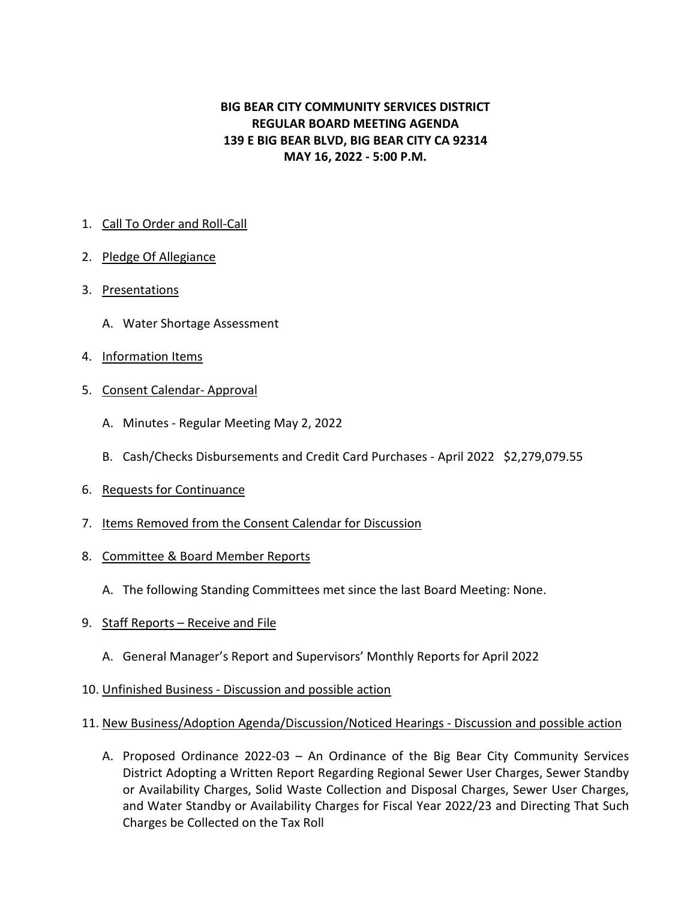## **BIG BEAR CITY COMMUNITY SERVICES DISTRICT REGULAR BOARD MEETING AGENDA 139 E BIG BEAR BLVD, BIG BEAR CITY CA 92314 MAY 16, 2022 - 5:00 P.M.**

## 1. Call To Order and Roll-Call

- 2. Pledge Of Allegiance
- 3. Presentations
	- A. Water Shortage Assessment
- 4. Information Items
- 5. Consent Calendar- Approval
	- A. Minutes Regular Meeting May 2, 2022
	- B. Cash/Checks Disbursements and Credit Card Purchases April 2022 \$2,279,079.55
- 6. Requests for Continuance
- 7. Items Removed from the Consent Calendar for Discussion
- 8. Committee & Board Member Reports
	- A. The following Standing Committees met since the last Board Meeting: None.
- 9. Staff Reports Receive and File
	- A. General Manager's Report and Supervisors' Monthly Reports for April 2022
- 10. Unfinished Business Discussion and possible action

## 11. New Business/Adoption Agenda/Discussion/Noticed Hearings - Discussion and possible action

A. Proposed Ordinance 2022-03 – An Ordinance of the Big Bear City Community Services District Adopting a Written Report Regarding Regional Sewer User Charges, Sewer Standby or Availability Charges, Solid Waste Collection and Disposal Charges, Sewer User Charges, and Water Standby or Availability Charges for Fiscal Year 2022/23 and Directing That Such Charges be Collected on the Tax Roll